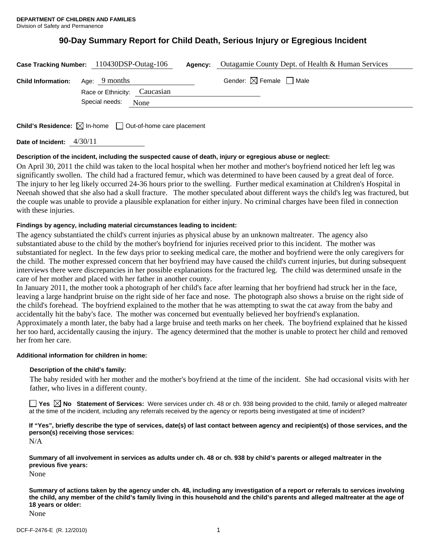# **90-Day Summary Report for Child Death, Serious Injury or Egregious Incident**

|                                         | Case Tracking Number: 110430DSP-Outag-106 | <b>Agency:</b> Outagamie County Dept. of Health & Human Services |
|-----------------------------------------|-------------------------------------------|------------------------------------------------------------------|
| <b>Child Information:</b> Age: 9 months |                                           | Gender: $\boxtimes$ Female $\Box$ Male                           |
|                                         | Race or Ethnicity: Caucasian              |                                                                  |
|                                         | Special needs: None                       |                                                                  |
|                                         |                                           |                                                                  |
|                                         |                                           |                                                                  |

**Child's Residence:**  $\boxtimes$  In-home  $\Box$  Out-of-home care placement

**Date of Incident:** 4/30/11

## **Description of the incident, including the suspected cause of death, injury or egregious abuse or neglect:**

On April 30, 2011 the child was taken to the local hospital when her mother and mother's boyfriend noticed her left leg was significantly swollen. The child had a fractured femur, which was determined to have been caused by a great deal of force. The injury to her leg likely occurred 24-36 hours prior to the swelling. Further medical examination at Children's Hospital in Neenah showed that she also had a skull fracture. The mother speculated about different ways the child's leg was fractured, but the couple was unable to provide a plausible explanation for either injury. No criminal charges have been filed in connection with these injuries.

## **Findings by agency, including material circumstances leading to incident:**

The agency substantiated the child's current injuries as physical abuse by an unknown maltreater. The agency also substantiated abuse to the child by the mother's boyfriend for injuries received prior to this incident. The mother was substantiated for neglect. In the few days prior to seeking medical care, the mother and boyfriend were the only caregivers for the child. The mother expressed concern that her boyfriend may have caused the child's current injuries, but during subsequent interviews there were discrepancies in her possible explanations for the fractured leg. The child was determined unsafe in the care of her mother and placed with her father in another county.

In January 2011, the mother took a photograph of her child's face after learning that her boyfriend had struck her in the face, leaving a large handprint bruise on the right side of her face and nose. The photograph also shows a bruise on the right side of the child's forehead. The boyfriend explained to the mother that he was attempting to swat the cat away from the baby and accidentally hit the baby's face. The mother was concerned but eventually believed her boyfriend's explanation. Approximately a month later, the baby had a large bruise and teeth marks on her cheek. The boyfriend explained that he kissed her too hard, accidentally causing the injury. The agency determined that the mother is unable to protect her child and removed her from her care.

### **Additional information for children in home:**

### **Description of the child's family:**

The baby resided with her mother and the mother's boyfriend at the time of the incident. She had occasional visits with her father, who lives in a different county.

**Yes No Statement of Services:** Were services under ch. 48 or ch. 938 being provided to the child, family or alleged maltreater at the time of the incident, including any referrals received by the agency or reports being investigated at time of incident?

**If "Yes", briefly describe the type of services, date(s) of last contact between agency and recipient(s) of those services, and the person(s) receiving those services:** 

N/A

**Summary of all involvement in services as adults under ch. 48 or ch. 938 by child's parents or alleged maltreater in the previous five years:** 

None

**Summary of actions taken by the agency under ch. 48, including any investigation of a report or referrals to services involving the child, any member of the child's family living in this household and the child's parents and alleged maltreater at the age of 18 years or older:** 

None